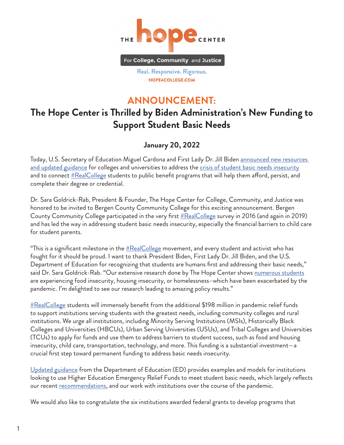

Real. Responsive. Rigorous. HOPE4COLLEGE.COM

## **ANNOUNCEMENT:**

## **The Hope Center is Thrilled by Biden Administration's New Funding to Support Student Basic Needs**

## **January 20, 2022**

Today, U.S. Secretary of Education Miguel Cardona and First Lady Dr. Jill Biden [announced new resources](https://content.govdelivery.com/accounts/USED/bulletins/306a154)  [and updated guidance](https://content.govdelivery.com/accounts/USED/bulletins/306a154) for colleges and universities to address the [crisis of student basic needs insecurity](https://hope4college.com/rc2021-bni-during-the-ongoing-pandemic/) and to connect  $\#Real College$  students to public benefit programs that will help them afford, persist, and complete their degree or credential.

Dr. Sara Goldrick-Rab, President & Founder, The Hope Center for College, Community, and Justice was honored to be invited to Bergen County Community College for this exciting announcement. Bergen County Community College participated in the very first  $\frac{\#Real College}$  survey in 2016 (and again in 2019) and has led the way in addressing student basic needs insecurity, especially the financial barriers to child care for student parents.

"This is a significant milestone in the  $\#Real College$  movement, and every student and activist who has fought for it should be proud. I want to thank President Biden, First Lady Dr. Jill Biden, and the U.S. Department of Education for recognizing that students are humans first and addressing their basic needs," said Dr. Sara Goldrick-Rab. "Our extensive research done by The Hope Center shows <u>[numerous students](https://hope4college.com/rc2021-bni-during-the-ongoing-pandemic/)</u> are experiencing food insecurity, housing insecurity, or homelessness–which have been exacerbated by the pandemic. I'm delighted to see our research leading to amazing policy results."

 $\#RealCollege$  students will immensely benefit from the additional \$198 million in pandemic relief funds to support institutions serving students with the greatest needs, including community colleges and rural institutions. We urge all institutions, including Minority Serving Institutions (MSIs), Historically Black Colleges and Universities (HBCUs), Urban Serving Universities (USUs), and Tribal Colleges and Universities (TCUs) to apply for funds and use them to address barriers to student success, such as food and housing insecurity, child care, transportation, technology, and more. This funding is a substantial investment—a crucial first step toward permanent funding to address basic needs insecurity.

[Updated guidance](https://www2.ed.gov/about/offices/list/ope/heerf-support-basic-needs-final.pdf?utm%5B%E2%80%A6%5Dnt=&utm_medium=email&utm_name=&utm_source=govdelivery&utm_term=) from the Department of Education (ED) provides examples and models for institutions looking to use Higher Education Emergency Relief Funds to meet student basic needs, which largely reflects our recent [recommendations,](https://hope4college.com/short-term-assistance-long-term-success-the-top-strategies-to-help-realcollege-students-through-federal-pandemic-relief-funds/) and our work with institutions over the course of the pandemic.

We would also like to congratulate the six institutions awarded federal grants to develop programs that